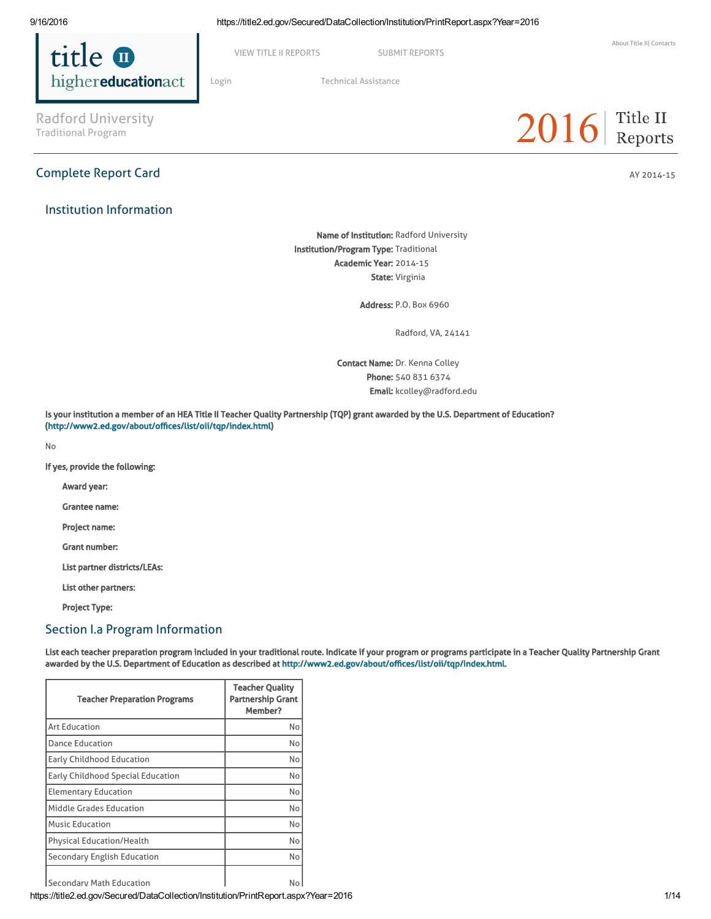

VIEW TITLE II [REPORTS](https://title2.ed.gov/Public/Login.aspx) SUBMIT REPORTS

Radford University<br>Traditional Program

# Complete Report Card AY 2014-15

Institution Information

[Login](https://title2.ed.gov/Public/Login.aspx) Technical [Assistance](https://title2.ed.gov/Public/TA.aspx)

# $2016$  Title II

Name of Institution: Radford University Institution/Program Type: Traditional Academic Year: 2014-15 State: Virginia

Address: P.O. Box 6960

Radford, VA, 24141

Contact Name: Dr. Kenna Colley Phone: 540 831 6374 Email: kcolley@radford.edu

Is your institution a member of an HEA Title II Teacher Quality Partnership (TQP) grant awarded by the U.S. Department of Education? (<http://www2.ed.gov/about/offices/list/oii/tqp/index.html>)

No

If yes, provide the following:

Award year:

Grantee name:

Project name:

Grant number:

List partner districts/LEAs:

List other partners:

Project Type:

## Section I.a Program Information

List each teacher preparation program included in your traditional route. Indicate if your program or programs participate in a Teacher Quality Partnership Grant awarded by the U.S. Department of Education as described at [http://www2.ed.gov/about/offices/list/oii/tqp/index.html.](http://www2.ed.gov/about/offices/list/oii/tqp/index.html)

| <b>Teacher Preparation Programs</b> | <b>Teacher Quality</b><br><b>Partnership Grant</b><br>Member? |
|-------------------------------------|---------------------------------------------------------------|
| <b>Art Education</b>                | No                                                            |
| <b>Dance Education</b>              | No                                                            |
| <b>Early Childhood Education</b>    | No                                                            |
| Early Childhood Special Education   | No                                                            |
| <b>Elementary Education</b>         | No                                                            |
| <b>Middle Grades Education</b>      | No                                                            |
| <b>Music Education</b>              | No                                                            |
| <b>Physical Education/Health</b>    | No                                                            |
| Secondary English Education         | No                                                            |
| Secondary Math Education            | No                                                            |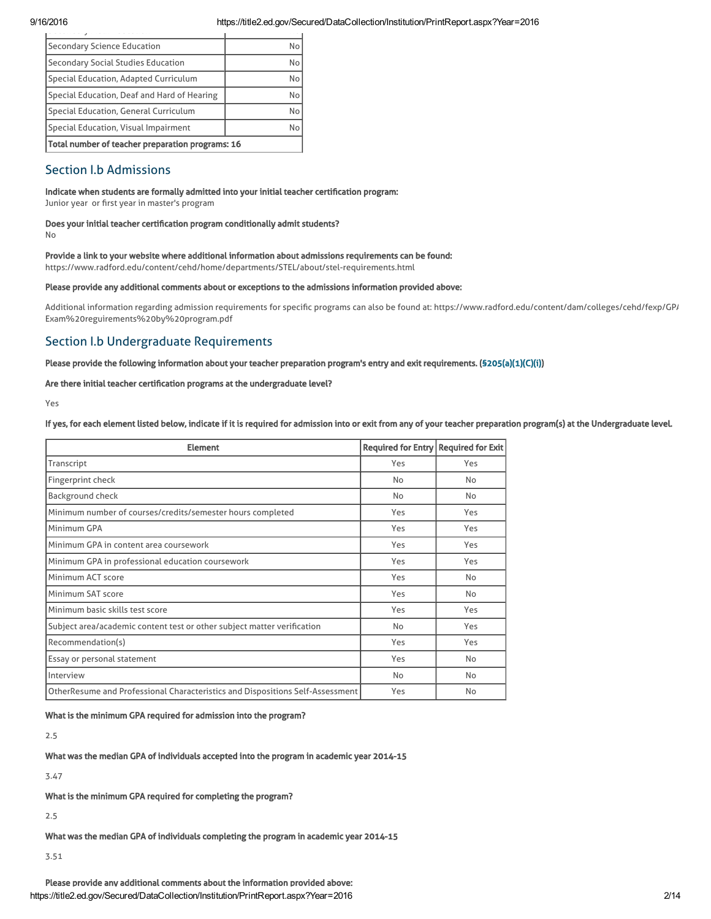| Secondary Science Education                      | No |
|--------------------------------------------------|----|
| Secondary Social Studies Education               | No |
| Special Education, Adapted Curriculum            | No |
| Special Education, Deaf and Hard of Hearing      | No |
| Special Education, General Curriculum            | No |
| Special Education, Visual Impairment             | No |
| Total number of teacher preparation programs: 16 |    |

# Section I.b Admissions

#### Indicate when students are formally admitted into your initial teacher certification program:

Junior year or first year in master's program

#### Does your initial teacher certification program conditionally admit students?

No

### Provide a link to your website where additional information about admissions requirements can be found:

https://www.radford.edu/content/cehd/home/departments/STEL/about/stel-requirements.html

#### Please provide any additional comments about or exceptions to the admissions information provided above:

Additional information regarding admission requirements for specific programs can also be found at: https://www.radford.edu/content/dam/colleges/cehd/fexp/GP/ Exam%20reguirements%20by%20program.pdf

# Section I.b Undergraduate Requirements

#### Please provide the following information about your teacher preparation program's entry and exit requirements. [\(§205\(a\)\(1\)\(C\)\(i\)](http://frwebgate.access.gpo.gov/cgi-bin/getdoc.cgi?dbname=110_cong_public_laws&docid=f:publ315.110.pdf))

#### Are there initial teacher certification programs at the undergraduate level?

Yes

If yes, for each element listed below, indicate if it is required for admission into or exit from any of your teacher preparation program(s) at the Undergraduate level.

| <b>Element</b>                                                                | Required for Entry Required for Exit |     |
|-------------------------------------------------------------------------------|--------------------------------------|-----|
| Transcript                                                                    | Yes                                  | Yes |
| Fingerprint check                                                             | <b>No</b>                            | No  |
| Background check                                                              | No                                   | No  |
| Minimum number of courses/credits/semester hours completed                    | Yes                                  | Yes |
| Minimum GPA                                                                   | Yes                                  | Yes |
| Minimum GPA in content area coursework                                        | Yes                                  | Yes |
| Minimum GPA in professional education coursework                              | Yes                                  | Yes |
| Minimum ACT score                                                             | Yes                                  | No  |
| Minimum SAT score                                                             | Yes                                  | No  |
| Minimum basic skills test score                                               | Yes                                  | Yes |
| Subject area/academic content test or other subject matter verification       | No                                   | Yes |
| Recommendation(s)                                                             | Yes                                  | Yes |
| Essay or personal statement                                                   | Yes                                  | No  |
| Interview                                                                     | No                                   | No  |
| OtherResume and Professional Characteristics and Dispositions Self-Assessment | Yes                                  | No  |

What is the minimum GPA required for admission into the program?

2.5

What was the median GPA of individuals accepted into the program in academic year 2014-15

3.47

What is the minimum GPA required for completing the program?

2.5

What was the median GPA of individuals completing the program in academic year 2014-15

3.51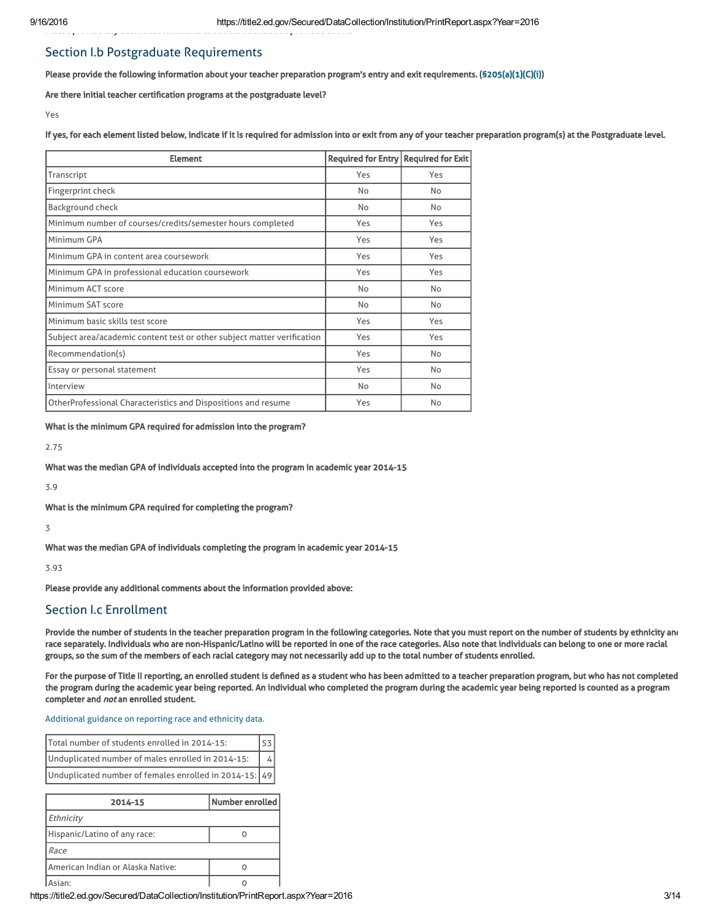# Section I.b Postgraduate Requirements

Please provide the following information about your teacher preparation program's entry and exit requirements. [\(§205\(a\)\(1\)\(C\)\(i\)](http://frwebgate.access.gpo.gov/cgi-bin/getdoc.cgi?dbname=110_cong_public_laws&docid=f:publ315.110.pdf))

Are there initial teacher certification programs at the postgraduate level?

Please provide any additional comments about the information provided above:

Yes

If yes, for each element listed below, indicate if it is required for admission into or exit from any of your teacher preparation program(s) at the Postgraduate level.

| <b>Element</b>                                                          | <b>Required for Entry</b> | <b>Required for Exit</b> |
|-------------------------------------------------------------------------|---------------------------|--------------------------|
| Transcript                                                              | Yes                       | Yes                      |
| Fingerprint check                                                       | No                        | No                       |
| <b>Background check</b>                                                 | No                        | No                       |
| Minimum number of courses/credits/semester hours completed              | Yes                       | Yes                      |
| Minimum GPA                                                             | Yes                       | Yes                      |
| Minimum GPA in content area coursework                                  | Yes                       | Yes                      |
| Minimum GPA in professional education coursework                        | Yes                       | Yes                      |
| Minimum ACT score                                                       | No                        | No                       |
| Minimum SAT score                                                       | No                        | No                       |
| Minimum basic skills test score                                         | Yes                       | Yes                      |
| Subject area/academic content test or other subject matter verification | Yes                       | Yes                      |
| Recommendation(s)                                                       | Yes                       | No                       |
| Essay or personal statement                                             | Yes                       | No                       |
| Interview                                                               | No                        | No                       |
| OtherProfessional Characteristics and Dispositions and resume           | Yes                       | No                       |

What is the minimum GPA required for admission into the program?

2.75

What was the median GPA of individuals accepted into the program in academic year 2014-15

3.9

What is the minimum GPA required for completing the program?

3

What was the median GPA of individuals completing the program in academic year 2014-15

3.93

Please provide any additional comments about the information provided above:

### Section I.c Enrollment

Provide the number of students in the teacher preparation program in the following categories. Note that you must report on the number of students by ethnicity and race separately. Individuals who are non-Hispanic/Latino will be reported in one of the race categories. Also note that individuals can belong to one or more racial groups, so the sum of the members of each racial category may not necessarily add up to the total number of students enrolled.

For the purpose of Title II reporting, an enrolled student is defined as a student who has been admitted to a teacher preparation program, but who has not completed the program during the academic year being reported. An individual who completed the program during the academic year being reported is counted as a program completer and *not* an enrolled student.

[Additional](https://title2.ed.gov/Public/TA/Race_ethnicity.pdf) guidance on reporting race and ethnicity data.

| Total number of students enrolled in 2014-15:          |  |
|--------------------------------------------------------|--|
| Unduplicated number of males enrolled in 2014-15:      |  |
| Unduplicated number of females enrolled in 2014-15: 49 |  |

| 2014-15                           | Number enrolled |
|-----------------------------------|-----------------|
| Ethnicity                         |                 |
| Hispanic/Latino of any race:      |                 |
| Race                              |                 |
| American Indian or Alaska Native: |                 |
| sian <sup>.</sup>                 |                 |

https://title2.ed.gov/Secured/DataCollection/Institution/PrintReport.aspx?Year=2016 3/14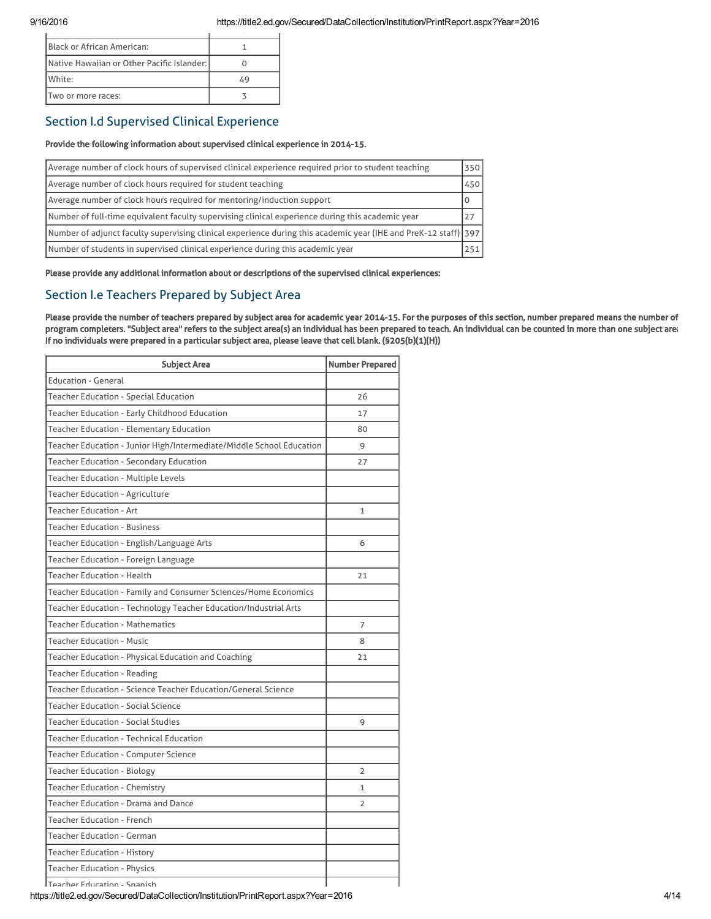| Black or African American:                 |  |
|--------------------------------------------|--|
| Native Hawaiian or Other Pacific Islander: |  |
| White:                                     |  |
| Two or more races:                         |  |

# Section I.d Supervised Clinical Experience

#### Provide the following information about supervised clinical experience in 2014-15.

| Average number of clock hours of supervised clinical experience required prior to student teaching                | 350      |
|-------------------------------------------------------------------------------------------------------------------|----------|
| Average number of clock hours required for student teaching                                                       | 450      |
| Average number of clock hours required for mentoring/induction support                                            | $\Omega$ |
| Number of full-time equivalent faculty supervising clinical experience during this academic year                  | 27       |
| Number of adjunct faculty supervising clinical experience during this academic year (IHE and PreK-12 staff)   397 |          |
| Number of students in supervised clinical experience during this academic year                                    | 251      |

Please provide any additional information about or descriptions of the supervised clinical experiences:

# Section I.e Teachers Prepared by Subject Area

Please provide the number of teachers prepared by subject area for academic year 2014-15. For the purposes of this section, number prepared means the number of program completers. "Subject area" refers to the subject area(s) an individual has been prepared to teach. An individual can be counted in more than one subject area. If no individuals were prepared in a particular subject area, please leave that cell blank. (§205(b)(1)(H))

| <b>Subject Area</b>                                                  | <b>Number Prepared</b> |
|----------------------------------------------------------------------|------------------------|
| <b>Education - General</b>                                           |                        |
| Teacher Education - Special Education                                | 26                     |
| Teacher Education - Early Childhood Education                        | 17                     |
| Teacher Education - Elementary Education                             | 80                     |
| Teacher Education - Junior High/Intermediate/Middle School Education | 9                      |
| Teacher Education - Secondary Education                              | 27                     |
| Teacher Education - Multiple Levels                                  |                        |
| Teacher Education - Agriculture                                      |                        |
| Teacher Education - Art                                              | 1                      |
| <b>Teacher Education - Business</b>                                  |                        |
| Teacher Education - English/Language Arts                            | 6                      |
| Teacher Education - Foreign Language                                 |                        |
| <b>Teacher Education - Health</b>                                    | 21                     |
| Teacher Education - Family and Consumer Sciences/Home Economics      |                        |
| Teacher Education - Technology Teacher Education/Industrial Arts     |                        |
| <b>Teacher Education - Mathematics</b>                               | 7                      |
| Teacher Education - Music                                            | 8                      |
| Teacher Education - Physical Education and Coaching                  | 21                     |
| Teacher Education - Reading                                          |                        |
| Teacher Education - Science Teacher Education/General Science        |                        |
| Teacher Education - Social Science                                   |                        |
| Teacher Education - Social Studies                                   | 9                      |
| Teacher Education - Technical Education                              |                        |
| <b>Teacher Education - Computer Science</b>                          |                        |
| Teacher Education - Biology                                          | $\overline{2}$         |
| Teacher Education - Chemistry                                        | 1                      |
| Teacher Education - Drama and Dance                                  | $\overline{2}$         |
| <b>Teacher Education - French</b>                                    |                        |
| <b>Teacher Education - German</b>                                    |                        |
| <b>Teacher Education - History</b>                                   |                        |
| <b>Teacher Education - Physics</b>                                   |                        |
| Teacher Education - Snanish                                          |                        |

https://title2.ed.gov/Secured/DataCollection/Institution/PrintReport.aspx?Year=2016 4/14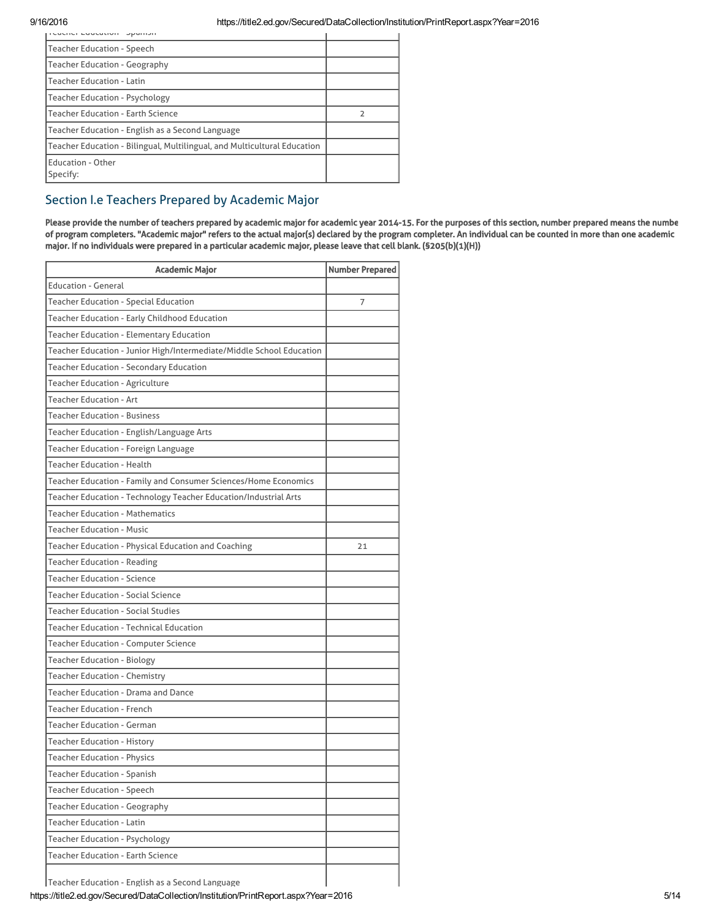| reacher Education Spanish                                                |   |
|--------------------------------------------------------------------------|---|
| <b>Teacher Education - Speech</b>                                        |   |
| <b>Teacher Education - Geography</b>                                     |   |
| <b>Teacher Education - Latin</b>                                         |   |
| <b>Teacher Education - Psychology</b>                                    |   |
| <b>Teacher Education - Earth Science</b>                                 | フ |
| Teacher Education - English as a Second Language                         |   |
| Teacher Education - Bilingual, Multilingual, and Multicultural Education |   |
| <b>Education - Other</b><br>Specify:                                     |   |

# Section I.e Teachers Prepared by Academic Major

Please provide the number of teachers prepared by academic major for academic year 2014-15. For the purposes of this section, number prepared means the number of program completers. "Academic major" refers to the actual major(s) declared by the program completer. An individual can be counted in more than one academic major. If no individuals were prepared in a particular academic major, please leave that cell blank. (§205(b)(1)(H))

| <b>Academic Major</b>                                                | <b>Number Prepared</b> |
|----------------------------------------------------------------------|------------------------|
| <b>Education - General</b>                                           |                        |
| <b>Teacher Education - Special Education</b>                         | 7                      |
| Teacher Education - Early Childhood Education                        |                        |
| Teacher Education - Elementary Education                             |                        |
| Teacher Education - Junior High/Intermediate/Middle School Education |                        |
| Teacher Education - Secondary Education                              |                        |
| Teacher Education - Agriculture                                      |                        |
| Teacher Education - Art                                              |                        |
| <b>Teacher Education - Business</b>                                  |                        |
| Teacher Education - English/Language Arts                            |                        |
| Teacher Education - Foreign Language                                 |                        |
| Teacher Education - Health                                           |                        |
| Teacher Education - Family and Consumer Sciences/Home Economics      |                        |
| Teacher Education - Technology Teacher Education/Industrial Arts     |                        |
| <b>Teacher Education - Mathematics</b>                               |                        |
| <b>Teacher Education - Music</b>                                     |                        |
| Teacher Education - Physical Education and Coaching                  | 21                     |
| Teacher Education - Reading                                          |                        |
| Teacher Education - Science                                          |                        |
| Teacher Education - Social Science                                   |                        |
| <b>Teacher Education - Social Studies</b>                            |                        |
| Teacher Education - Technical Education                              |                        |
| Teacher Education - Computer Science                                 |                        |
| Teacher Education - Biology                                          |                        |
| <b>Teacher Education - Chemistry</b>                                 |                        |
| Teacher Education - Drama and Dance                                  |                        |
| <b>Teacher Education - French</b>                                    |                        |
| <b>Teacher Education - German</b>                                    |                        |
| Teacher Education - History                                          |                        |
| <b>Teacher Education - Physics</b>                                   |                        |
| <b>Teacher Education - Spanish</b>                                   |                        |
| <b>Teacher Education - Speech</b>                                    |                        |
| <b>Teacher Education - Geography</b>                                 |                        |
| <b>Teacher Education - Latin</b>                                     |                        |
| <b>Teacher Education - Psychology</b>                                |                        |
| <b>Teacher Education - Earth Science</b>                             |                        |
| Teacher Education - English as a Second Language                     |                        |

Teacher Education - English as a Second Language

https://title2.ed.gov/Secured/DataCollection/Institution/PrintReport.aspx?Year=2016 5/14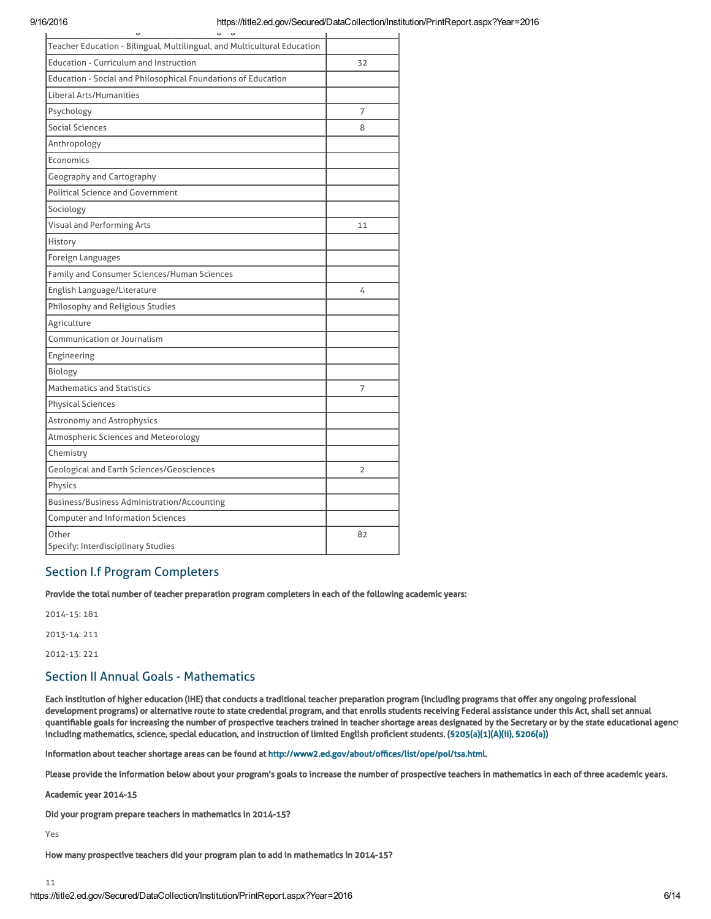| $\overline{\phantom{0}}$<br>$\overline{\phantom{0}}$<br>$\overline{\phantom{0}}$ |    |
|----------------------------------------------------------------------------------|----|
| Teacher Education - Bilingual, Multilingual, and Multicultural Education         |    |
| <b>Education - Curriculum and Instruction</b>                                    | 32 |
| Education - Social and Philosophical Foundations of Education                    |    |
| Liberal Arts/Humanities                                                          |    |
| Psychology                                                                       | 7  |
| Social Sciences                                                                  | 8  |
| Anthropology                                                                     |    |
| <b>Economics</b>                                                                 |    |
| Geography and Cartography                                                        |    |
| <b>Political Science and Government</b>                                          |    |
| Sociology                                                                        |    |
| Visual and Performing Arts                                                       | 11 |
| History                                                                          |    |
| Foreign Languages                                                                |    |
| Family and Consumer Sciences/Human Sciences                                      |    |
| English Language/Literature                                                      | 4  |
| Philosophy and Religious Studies                                                 |    |
| Agriculture                                                                      |    |
| Communication or Journalism                                                      |    |
| Engineering                                                                      |    |
| Biology                                                                          |    |
| <b>Mathematics and Statistics</b>                                                | 7  |
| <b>Physical Sciences</b>                                                         |    |
| Astronomy and Astrophysics                                                       |    |
| Atmospheric Sciences and Meteorology                                             |    |
| Chemistry                                                                        |    |
| Geological and Earth Sciences/Geosciences                                        | 2  |
| Physics                                                                          |    |
| Business/Business Administration/Accounting                                      |    |
| <b>Computer and Information Sciences</b>                                         |    |
| Other<br>Specify: Interdisciplinary Studies                                      | 82 |

# Section I.f Program Completers

Provide the total number of teacher preparation program completers in each of the following academic years:

2014-15: 181

2013-14: 211

2012-13: 221

# Section II Annual Goals - Mathematics

Each institution of higher education (IHE) that conducts a traditional teacher preparation program (including programs that offer any ongoing professional development programs) or alternative route to state credential program, and that enrolls students receiving Federal assistance under this Act, shall set annual quantifiable goals for increasing the number of prospective teachers trained in teacher shortage areas designated by the Secretary or by the state educational agency including mathematics, science, special education, and instruction of limited English proficient students. ([§205\(a\)\(1\)\(A\)\(ii\), §206\(a\)\)](http://frwebgate.access.gpo.gov/cgi-bin/getdoc.cgi?dbname=110_cong_public_laws&docid=f:publ315.110.pdf)

Information about teacher shortage areas can be found at [http://www2.ed.gov/about/offices/list/ope/pol/tsa.html.](http://www2.ed.gov/about/offices/list/ope/pol/tsa.html)

Please provide the information below about your program's goals to increase the number of prospective teachers in mathematics in each of three academic years.

Academic year 2014-15

Did your program prepare teachers in mathematics in 2014-15?

Yes

How many prospective teachers did your program plan to add in mathematics in 2014-15?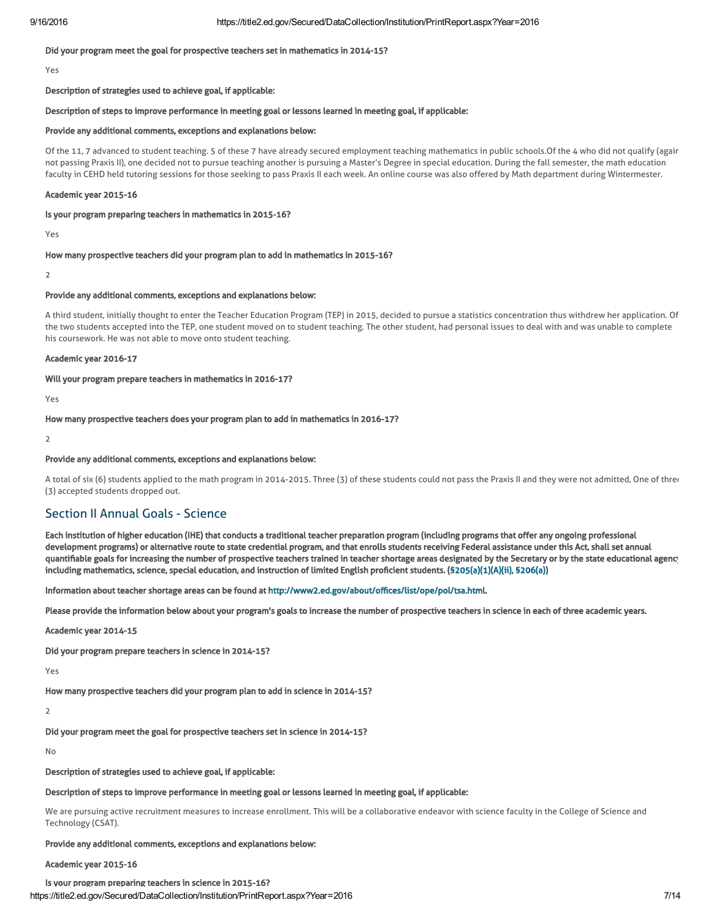#### Did your program meet the goal for prospective teachers set in mathematics in 2014-15?

Yes

#### Description of strategies used to achieve goal, if applicable:

#### Description of steps to improve performance in meeting goal or lessons learned in meeting goal, if applicable:

#### Provide any additional comments, exceptions and explanations below:

Of the 11, 7 advanced to student teaching. 5 of these 7 have already secured employment teaching mathematics in public schools. Of the 4 who did not qualify (agair not passing Praxis II), one decided not to pursue teaching another is pursuing a Master's Degree in special education. During the fall semester, the math education faculty in CEHD held tutoring sessions for those seeking to pass Praxis II each week. An online course was also offered by Math department during Wintermester.

#### Academic year 2015-16

#### Is your program preparing teachers in mathematics in 2015-16?

Yes

#### How many prospective teachers did your program plan to add in mathematics in 2015-16?

 $\overline{2}$ 

#### Provide any additional comments, exceptions and explanations below:

A third student, initially thought to enter the Teacher Education Program (TEP) in 2015, decided to pursue a statistics concentration thus withdrew her application. Of the two students accepted into the TEP, one student moved on to student teaching. The other student, had personal issues to deal with and was unable to complete his coursework. He was not able to move onto student teaching.

#### Academic year 2016-17

#### Will your program prepare teachers in mathematics in 2016-17?

Yes

How many prospective teachers does your program plan to add in mathematics in 2016-17?

 $\overline{\phantom{0}}$ 

#### Provide any additional comments, exceptions and explanations below:

A total of six (6) students applied to the math program in 2014-2015. Three (3) of these students could not pass the Praxis II and they were not admitted, One of three (3) accepted students dropped out.

# Section II Annual Goals - Science

Each institution of higher education (IHE) that conducts a traditional teacher preparation program (including programs that offer any ongoing professional development programs) or alternative route to state credential program, and that enrolls students receiving Federal assistance under this Act, shall set annual quantifiable goals for increasing the number of prospective teachers trained in teacher shortage areas designated by the Secretary or by the state educational agency including mathematics, science, special education, and instruction of limited English proficient students. ([§205\(a\)\(1\)\(A\)\(ii\), §206\(a\)\)](http://frwebgate.access.gpo.gov/cgi-bin/getdoc.cgi?dbname=110_cong_public_laws&docid=f:publ315.110.pdf)

Information about teacher shortage areas can be found at [http://www2.ed.gov/about/offices/list/ope/pol/tsa.html.](http://www2.ed.gov/about/offices/list/ope/pol/tsa.html)

Please provide the information below about your program's goals to increase the number of prospective teachers in science in each of three academic years.

Academic year 2014-15

Did your program prepare teachers in science in 2014-15?

Yes

How many prospective teachers did your program plan to add in science in 2014-15?

2

Did your program meet the goal for prospective teachers set in science in 2014-15?

No

Description of strategies used to achieve goal, if applicable:

#### Description of steps to improve performance in meeting goal or lessons learned in meeting goal, if applicable:

We are pursuing active recruitment measures to increase enrollment. This will be a collaborative endeavor with science faculty in the College of Science and Technology (CSAT).

#### Provide any additional comments, exceptions and explanations below:

#### Academic year 2015-16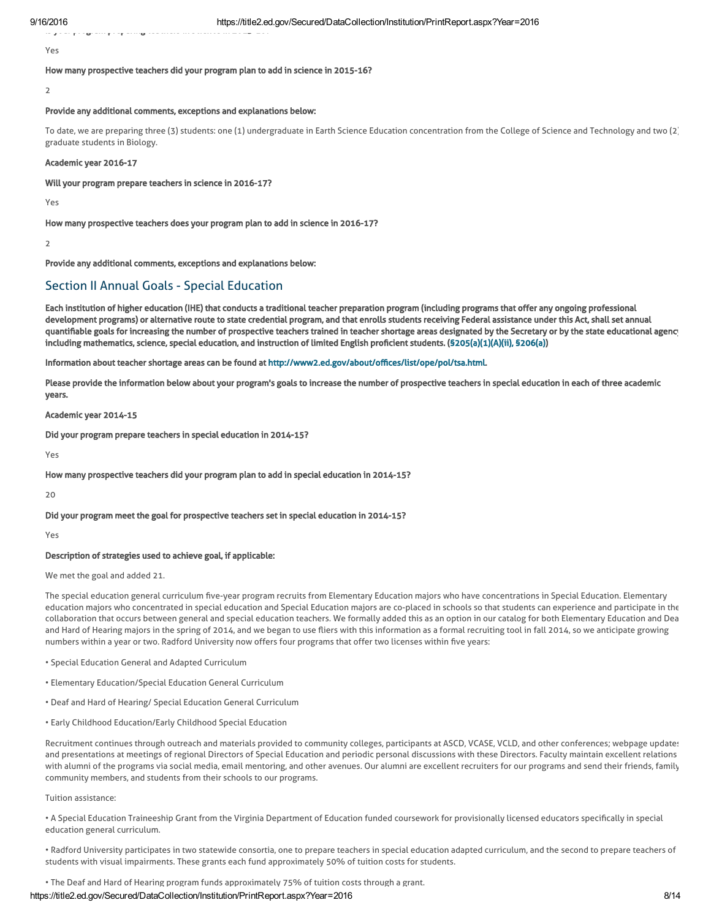Is your program preparing teachers in science in 2015-16?

Yes

How many prospective teachers did your program plan to add in science in 2015-16?

 $\overline{2}$ 

#### Provide any additional comments, exceptions and explanations below:

To date, we are preparing three (3) students: one (1) undergraduate in Earth Science Education concentration from the College of Science and Technology and two (2) graduate students in Biology.

#### Academic year 2016-17

#### Will your program prepare teachers in science in 2016-17?

Yes

#### How many prospective teachers does your program plan to add in science in 2016-17?

 $\overline{2}$ 

Provide any additional comments, exceptions and explanations below:

# Section II Annual Goals - Special Education

Each institution of higher education (IHE) that conducts a traditional teacher preparation program (including programs that offer any ongoing professional development programs) or alternative route to state credential program, and that enrolls students receiving Federal assistance under this Act, shall set annual quantifiable goals for increasing the number of prospective teachers trained in teacher shortage areas designated by the Secretary or by the state educational agency including mathematics, science, special education, and instruction of limited English proficient students. ([§205\(a\)\(1\)\(A\)\(ii\), §206\(a\)\)](http://frwebgate.access.gpo.gov/cgi-bin/getdoc.cgi?dbname=110_cong_public_laws&docid=f:publ315.110.pdf)

Information about teacher shortage areas can be found at [http://www2.ed.gov/about/offices/list/ope/pol/tsa.html.](http://www2.ed.gov/about/offices/list/ope/pol/tsa.html)

Please provide the information below about your program's goals to increase the number of prospective teachers in special education in each of three academic years.

#### Academic year 2014-15

Did your program prepare teachers in special education in 2014-15?

Yes

#### How many prospective teachers did your program plan to add in special education in 2014-15?

 $20$ 

#### Did your program meet the goal for prospective teachers set in special education in 2014-15?

Yes

#### Description of strategies used to achieve goal, if applicable:

We met the goal and added 21.

The special education general curriculum five-year program recruits from Elementary Education majors who have concentrations in Special Education. Elementary education majors who concentrated in special education and Special Education majors are co-placed in schools so that students can experience and participate in the collaboration that occurs between general and special education teachers. We formally added this as an option in our catalog for both Elementary Education and Dea and Hard of Hearing majors in the spring of 2014, and we began to use fliers with this information as a formal recruiting tool in fall 2014, so we anticipate growing numbers within a year or two. Radford University now offers four programs that offer two licenses within five years:

- Special Education General and Adapted Curriculum
- Elementary Education/Special Education General Curriculum
- Deaf and Hard of Hearing/ Special Education General Curriculum
- Early Childhood Education/Early Childhood Special Education

Recruitment continues through outreach and materials provided to community colleges, participants at ASCD, VCASE, VCLD, and other conferences; webpage updates; and presentations at meetings of regional Directors of Special Education and periodic personal discussions with these Directors. Faculty maintain excellent relations with alumni of the programs via social media, email mentoring, and other avenues. Our alumni are excellent recruiters for our programs and send their friends, family community members, and students from their schools to our programs.

#### Tuition assistance:

• A Special Education Traineeship Grant from the Virginia Department of Education funded coursework for provisionally licensed educators specifically in special education general curriculum.

• Radford University participates in two statewide consortia, one to prepare teachers in special education adapted curriculum, and the second to prepare teachers of students with visual impairments. These grants each fund approximately 50% of tuition costs for students.

• The Deaf and Hard of Hearing program funds approximately 75% of tuition costs through a grant.

### https://title2.ed.gov/Secured/DataCollection/Institution/PrintReport.aspx?Year=2016 8/14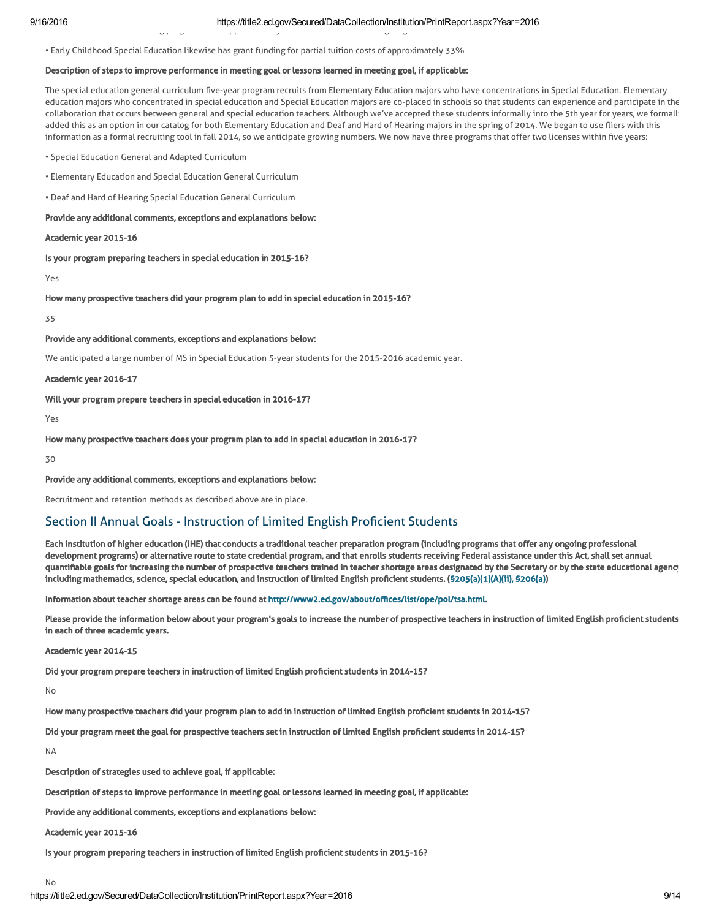• The Deaf and Hard of Hearing program funds approximately 75% of tuition costs through a grant.

• Early Childhood Special Education likewise has grant funding for partial tuition costs of approximately 33%

### Description of steps to improve performance in meeting goal or lessons learned in meeting goal, if applicable:

The special education general curriculum five-year program recruits from Elementary Education majors who have concentrations in Special Education. Elementary education majors who concentrated in special education and Special Education majors are co-placed in schools so that students can experience and participate in the collaboration that occurs between general and special education teachers. Although we've accepted these students informally into the 5th year for years, we formally added this as an option in our catalog for both Elementary Education and Deaf and Hard of Hearing majors in the spring of 2014. We began to use fliers with this information as a formal recruiting tool in fall 2014, so we anticipate growing numbers. We now have three programs that offer two licenses within five years:

- Special Education General and Adapted Curriculum
- Elementary Education and Special Education General Curriculum
- Deaf and Hard of Hearing Special Education General Curriculum

#### Provide any additional comments, exceptions and explanations below:

#### Academic year 2015-16

Is your program preparing teachers in special education in 2015-16?

Yes

How many prospective teachers did your program plan to add in special education in 2015-16?

35

#### Provide any additional comments, exceptions and explanations below:

We anticipated a large number of MS in Special Education 5-year students for the 2015-2016 academic year.

#### Academic year 2016-17

### Will your program prepare teachers in special education in 2016-17?

Yes

# How many prospective teachers does your program plan to add in special education in 2016-17?

30

#### Provide any additional comments, exceptions and explanations below:

Recruitment and retention methods as described above are in place.

# Section II Annual Goals - Instruction of Limited English Proficient Students

Each institution of higher education (IHE) that conducts a traditional teacher preparation program (including programs that offer any ongoing professional development programs) or alternative route to state credential program, and that enrolls students receiving Federal assistance under this Act, shall set annual quantifiable goals for increasing the number of prospective teachers trained in teacher shortage areas designated by the Secretary or by the state educational agency including mathematics, science, special education, and instruction of limited English proficient students. ([§205\(a\)\(1\)\(A\)\(ii\), §206\(a\)\)](http://frwebgate.access.gpo.gov/cgi-bin/getdoc.cgi?dbname=110_cong_public_laws&docid=f:publ315.110.pdf)

Information about teacher shortage areas can be found at [http://www2.ed.gov/about/offices/list/ope/pol/tsa.html.](http://www2.ed.gov/about/offices/list/ope/pol/tsa.html)

Please provide the information below about your program's goals to increase the number of prospective teachers in instruction of limited English proficient students in each of three academic years.

Academic year 2014-15

Did your program prepare teachers in instruction of limited English proficient students in 2014-15?

No

How many prospective teachers did your program plan to add in instruction of limited English proficient students in 2014-15?

Did your program meet the goal for prospective teachers set in instruction of limited English proficient students in 2014-15?

NA

No

Description of strategies used to achieve goal, if applicable:

Description of steps to improve performance in meeting goal or lessons learned in meeting goal, if applicable:

Provide any additional comments, exceptions and explanations below:

Academic year 2015-16

Is your program preparing teachers in instruction of limited English proficient students in 2015-16?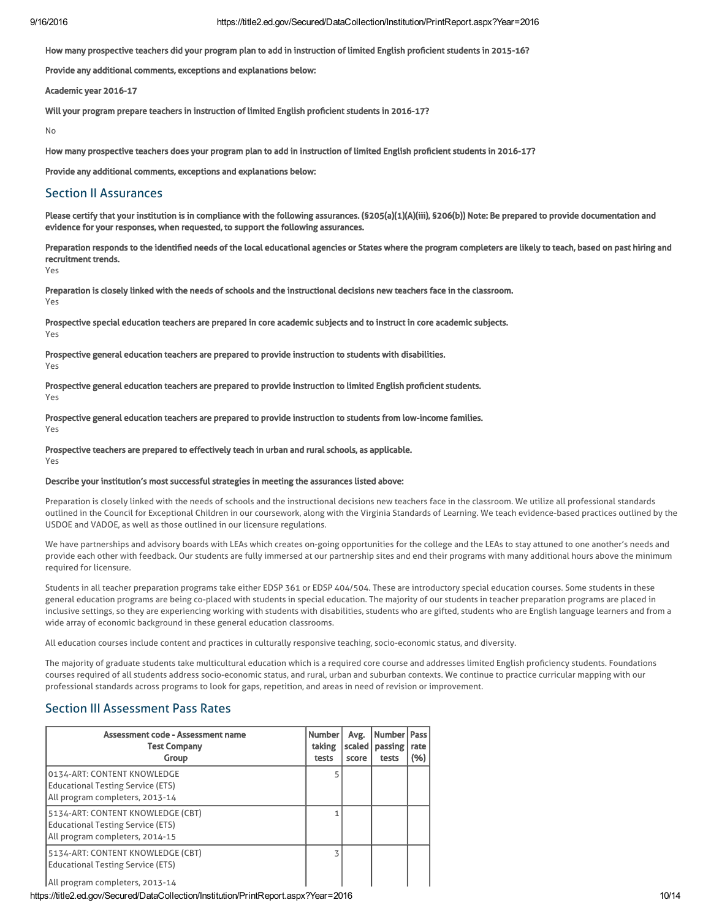How many prospective teachers did your program plan to add in instruction of limited English proficient students in 2015-16?

Provide any additional comments, exceptions and explanations below:

Academic year 2016-17

Will your program prepare teachers in instruction of limited English proficient students in 2016-17?

No

How many prospective teachers does your program plan to add in instruction of limited English proficient students in 2016-17?

Provide any additional comments, exceptions and explanations below:

### Section II Assurances

Please certify that your institution is in compliance with the following assurances. (\$205(a)(1)(A)(iii), \$206(b)) Note: Be prepared to provide documentation and evidence for your responses, when requested, to support the following assurances.

Preparation responds to the identified needs of the local educational agencies or States where the program completers are likely to teach, based on past hiring and recruitment trends.

Yes

Preparation is closely linked with the needs of schools and the instructional decisions new teachers face in the classroom. Yes

Prospective special education teachers are prepared in core academic subjects and to instruct in core academic subjects. Yes

Prospective general education teachers are prepared to provide instruction to students with disabilities. Yes

Prospective general education teachers are prepared to provide instruction to limited English proficient students. Yes

Prospective general education teachers are prepared to provide instruction to students from low-income families. Yes

Prospective teachers are prepared to effectively teach in urban and rural schools, as applicable.

Yes

#### Describe your institution's most successful strategies in meeting the assurances listed above:

Preparation is closely linked with the needs of schools and the instructional decisions new teachers face in the classroom. We utilize all professional standards outlined in the Council for Exceptional Children in our coursework, along with the Virginia Standards of Learning. We teach evidence-based practices outlined by the USDOE and VADOE, as well as those outlined in our licensure regulations.

We have partnerships and advisory boards with LEAs which creates on-going opportunities for the college and the LEAs to stay attuned to one another's needs and provide each other with feedback. Our students are fully immersed at our partnership sites and end their programs with many additional hours above the minimum required for licensure.

Students in all teacher preparation programs take either EDSP 361 or EDSP 404/504. These are introductory special education courses. Some students in these general education programs are being co-placed with students in special education. The majority of our students in teacher preparation programs are placed in inclusive settings, so they are experiencing working with students with disabilities, students who are gifted, students who are English language learners and from a wide array of economic background in these general education classrooms.

All education courses include content and practices in culturally responsive teaching, socio-economic status, and diversity.

The majority of graduate students take multicultural education which is a required core course and addresses limited English proficiency students. Foundations courses required of all students address socio-economic status, and rural, urban and suburban contexts. We continue to practice curricular mapping with our professional standards across programs to look for gaps, repetition, and areas in need of revision or improvement.

# Section III Assessment Pass Rates

| Assessment code - Assessment name<br><b>Test Company</b><br>Group                                                | <b>Number</b><br>taking<br>tests | Avg.<br>scaled<br>score | Number<br>passing<br>tests | Pass<br>rate<br>(%) |
|------------------------------------------------------------------------------------------------------------------|----------------------------------|-------------------------|----------------------------|---------------------|
| 0134-ART: CONTENT KNOWLEDGE<br><b>Educational Testing Service (ETS)</b><br>All program completers, 2013-14       |                                  |                         |                            |                     |
| 5134-ART: CONTENT KNOWLEDGE (CBT)<br><b>Educational Testing Service (ETS)</b><br>All program completers, 2014-15 |                                  |                         |                            |                     |
| 5134-ART: CONTENT KNOWLEDGE (CBT)<br><b>Educational Testing Service (ETS)</b><br>All program completers, 2013-14 | 3                                |                         |                            |                     |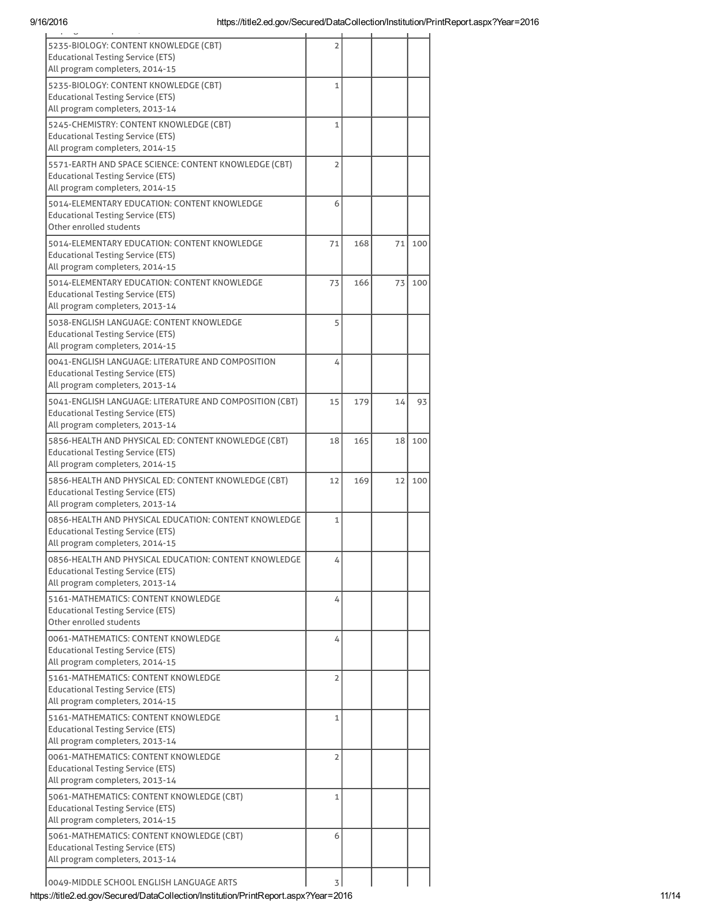| $\overline{\phantom{a}}$<br>$\mathbf{r}$                                                          |                |     |    |     |
|---------------------------------------------------------------------------------------------------|----------------|-----|----|-----|
| 5235-BIOLOGY: CONTENT KNOWLEDGE (CBT)<br><b>Educational Testing Service (ETS)</b>                 | $\overline{2}$ |     |    |     |
| All program completers, 2014-15                                                                   |                |     |    |     |
| 5235-BIOLOGY: CONTENT KNOWLEDGE (CBT)<br><b>Educational Testing Service (ETS)</b>                 | 1              |     |    |     |
| All program completers, 2013-14                                                                   |                |     |    |     |
| 5245-CHEMISTRY: CONTENT KNOWLEDGE (CBT)                                                           | $\mathbf{1}$   |     |    |     |
| <b>Educational Testing Service (ETS)</b>                                                          |                |     |    |     |
| All program completers, 2014-15                                                                   |                |     |    |     |
| 5571-EARTH AND SPACE SCIENCE: CONTENT KNOWLEDGE (CBT)<br><b>Educational Testing Service (ETS)</b> | $\overline{2}$ |     |    |     |
| All program completers, 2014-15                                                                   |                |     |    |     |
| 5014-ELEMENTARY EDUCATION: CONTENT KNOWLEDGE                                                      | 6              |     |    |     |
| <b>Educational Testing Service (ETS)</b>                                                          |                |     |    |     |
| Other enrolled students                                                                           |                |     |    |     |
| 5014-ELEMENTARY EDUCATION: CONTENT KNOWLEDGE                                                      | 71             | 168 | 71 | 100 |
| <b>Educational Testing Service (ETS)</b><br>All program completers, 2014-15                       |                |     |    |     |
|                                                                                                   |                | 166 |    |     |
| 5014-ELEMENTARY EDUCATION: CONTENT KNOWLEDGE<br><b>Educational Testing Service (ETS)</b>          | 73             |     | 73 | 100 |
| All program completers, 2013-14                                                                   |                |     |    |     |
| 5038-ENGLISH LANGUAGE: CONTENT KNOWLEDGE                                                          | 5              |     |    |     |
| <b>Educational Testing Service (ETS)</b>                                                          |                |     |    |     |
| All program completers, 2014-15                                                                   |                |     |    |     |
| 0041-ENGLISH LANGUAGE: LITERATURE AND COMPOSITION<br><b>Educational Testing Service (ETS)</b>     | 4              |     |    |     |
| All program completers, 2013-14                                                                   |                |     |    |     |
| 5041-ENGLISH LANGUAGE: LITERATURE AND COMPOSITION (CBT)                                           | 15             | 179 | 14 | 93  |
| Educational Testing Service (ETS)                                                                 |                |     |    |     |
| All program completers, 2013-14                                                                   |                |     |    |     |
| 5856-HEALTH AND PHYSICAL ED: CONTENT KNOWLEDGE (CBT)                                              | 18             | 165 | 18 | 100 |
| <b>Educational Testing Service (ETS)</b>                                                          |                |     |    |     |
| All program completers, 2014-15                                                                   |                |     |    |     |
| 5856-HEALTH AND PHYSICAL ED: CONTENT KNOWLEDGE (CBT)<br><b>Educational Testing Service (ETS)</b>  | 12             | 169 | 12 | 100 |
| All program completers, 2013-14                                                                   |                |     |    |     |
| 0856-HEALTH AND PHYSICAL EDUCATION: CONTENT KNOWLEDGE                                             | $\mathbf{1}$   |     |    |     |
| <b>Educational Testing Service (ETS)</b>                                                          |                |     |    |     |
| All program completers, 2014-15                                                                   |                |     |    |     |
| 0856-HEALTH AND PHYSICAL EDUCATION: CONTENT KNOWLEDGE                                             | 4              |     |    |     |
| <b>Educational Testing Service (ETS)</b><br>All program completers, 2013-14                       |                |     |    |     |
| 5161-MATHEMATICS: CONTENT KNOWLEDGE                                                               | 4              |     |    |     |
| <b>Educational Testing Service (ETS)</b>                                                          |                |     |    |     |
| Other enrolled students                                                                           |                |     |    |     |
| 0061-MATHEMATICS: CONTENT KNOWLEDGE                                                               | 4              |     |    |     |
| <b>Educational Testing Service (ETS)</b><br>All program completers, 2014-15                       |                |     |    |     |
| 5161-MATHEMATICS: CONTENT KNOWLEDGE                                                               |                |     |    |     |
| <b>Educational Testing Service (ETS)</b>                                                          | 2              |     |    |     |
| All program completers, 2014-15                                                                   |                |     |    |     |
| 5161-MATHEMATICS: CONTENT KNOWLEDGE                                                               | $\mathbf{1}$   |     |    |     |
| <b>Educational Testing Service (ETS)</b>                                                          |                |     |    |     |
| All program completers, 2013-14                                                                   |                |     |    |     |
| 0061-MATHEMATICS: CONTENT KNOWLEDGE                                                               | $\overline{2}$ |     |    |     |
| <b>Educational Testing Service (ETS)</b><br>All program completers, 2013-14                       |                |     |    |     |
| 5061-MATHEMATICS: CONTENT KNOWLEDGE (CBT)                                                         | 1              |     |    |     |
| <b>Educational Testing Service (ETS)</b>                                                          |                |     |    |     |
| All program completers, 2014-15                                                                   |                |     |    |     |
| 5061-MATHEMATICS: CONTENT KNOWLEDGE (CBT)                                                         | 6              |     |    |     |
| <b>Educational Testing Service (ETS)</b>                                                          |                |     |    |     |
| All program completers, 2013-14                                                                   |                |     |    |     |
| 0049-MIDDLE SCHOOL ENGLISH LANGUAGE ARTS                                                          | 3              |     |    |     |

 $\vert$ 0049-MIDDLE SCHOOL ENGLISH LANGUAGE ARTS  $\vert$  3

https://title2.ed.gov/Secured/DataCollection/Institution/PrintReport.aspx?Year=2016 11/14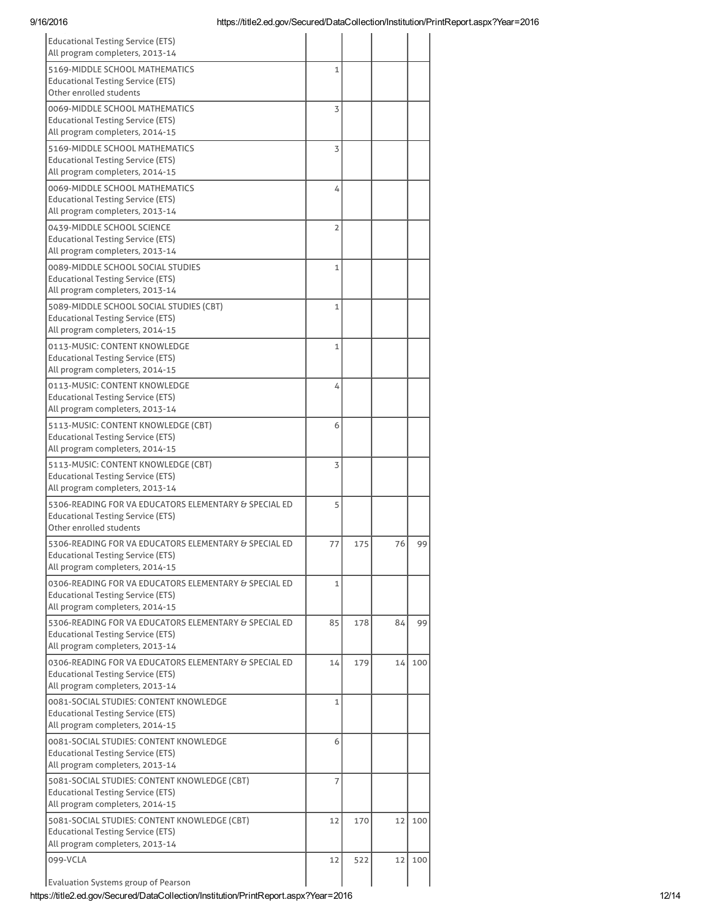| https://title2.ed.gov/Secured/DataCollection/Institution/PrintReport.aspx?Year=2016<br>9/16/2016                                     |                |     |    |        |
|--------------------------------------------------------------------------------------------------------------------------------------|----------------|-----|----|--------|
| <b>Educational Testing Service (ETS)</b><br>All program completers, 2013-14                                                          |                |     |    |        |
| 5169-MIDDLE SCHOOL MATHEMATICS<br><b>Educational Testing Service (ETS)</b><br>Other enrolled students                                | $\mathbf{1}$   |     |    |        |
| 0069-MIDDLE SCHOOL MATHEMATICS<br><b>Educational Testing Service (ETS)</b><br>All program completers, 2014-15                        | 3              |     |    |        |
| 5169-MIDDLE SCHOOL MATHEMATICS<br><b>Educational Testing Service (ETS)</b><br>All program completers, 2014-15                        | 3              |     |    |        |
| 0069-MIDDLE SCHOOL MATHEMATICS<br><b>Educational Testing Service (ETS)</b><br>All program completers, 2013-14                        | 4              |     |    |        |
| 0439-MIDDLE SCHOOL SCIENCE<br><b>Educational Testing Service (ETS)</b><br>All program completers, 2013-14                            | 2              |     |    |        |
| 0089-MIDDLE SCHOOL SOCIAL STUDIES<br><b>Educational Testing Service (ETS)</b><br>All program completers, 2013-14                     | 1              |     |    |        |
| 5089-MIDDLE SCHOOL SOCIAL STUDIES (CBT)<br><b>Educational Testing Service (ETS)</b><br>All program completers, 2014-15               | $\overline{1}$ |     |    |        |
| 0113-MUSIC: CONTENT KNOWLEDGE<br><b>Educational Testing Service (ETS)</b><br>All program completers, 2014-15                         | 1              |     |    |        |
| 0113-MUSIC: CONTENT KNOWLEDGE<br><b>Educational Testing Service (ETS)</b><br>All program completers, 2013-14                         | 4              |     |    |        |
| 5113-MUSIC: CONTENT KNOWLEDGE (CBT)<br><b>Educational Testing Service (ETS)</b><br>All program completers, 2014-15                   | 6              |     |    |        |
| 5113-MUSIC: CONTENT KNOWLEDGE (CBT)<br><b>Educational Testing Service (ETS)</b><br>All program completers, 2013-14                   | 3              |     |    |        |
| 5306-READING FOR VA EDUCATORS ELEMENTARY & SPECIAL ED<br><b>Educational Testing Service (ETS)</b><br>Other enrolled students         | 5              |     |    |        |
| 5306-READING FOR VA EDUCATORS ELEMENTARY & SPECIAL ED<br><b>Educational Testing Service (ETS)</b><br>All program completers, 2014-15 | 77             | 175 | 76 | 99     |
| 0306-READING FOR VA EDUCATORS ELEMENTARY & SPECIAL ED<br><b>Educational Testing Service (ETS)</b><br>All program completers, 2014-15 | $\mathbf{1}$   |     |    |        |
| 5306-READING FOR VA EDUCATORS ELEMENTARY & SPECIAL ED<br>Educational Testing Service (ETS)<br>All program completers, 2013-14        | 85             | 178 | 84 | 99     |
| 0306-READING FOR VA EDUCATORS ELEMENTARY & SPECIAL ED<br><b>Educational Testing Service (ETS)</b><br>All program completers, 2013-14 | 14             | 179 | 14 | 100    |
| 0081-SOCIAL STUDIES: CONTENT KNOWLEDGE<br><b>Educational Testing Service (ETS)</b><br>All program completers, 2014-15                | $\mathbf{1}$   |     |    |        |
| 0081-SOCIAL STUDIES: CONTENT KNOWLEDGE<br><b>Educational Testing Service (ETS)</b><br>All program completers, 2013-14                | 6              |     |    |        |
| 5081-SOCIAL STUDIES: CONTENT KNOWLEDGE (CBT)<br><b>Educational Testing Service (ETS)</b><br>All program completers, 2014-15          | 7              |     |    |        |
| 5081-SOCIAL STUDIES: CONTENT KNOWLEDGE (CBT)<br><b>Educational Testing Service (ETS)</b><br>All program completers, 2013-14          | 12             | 170 | 12 | 100    |
| 099-VCLA<br>Evaluation Systems group of Pearson                                                                                      | 12             | 522 |    | 12 100 |

https://title2.ed.gov/Secured/DataCollection/Institution/PrintReport.aspx?Year=2016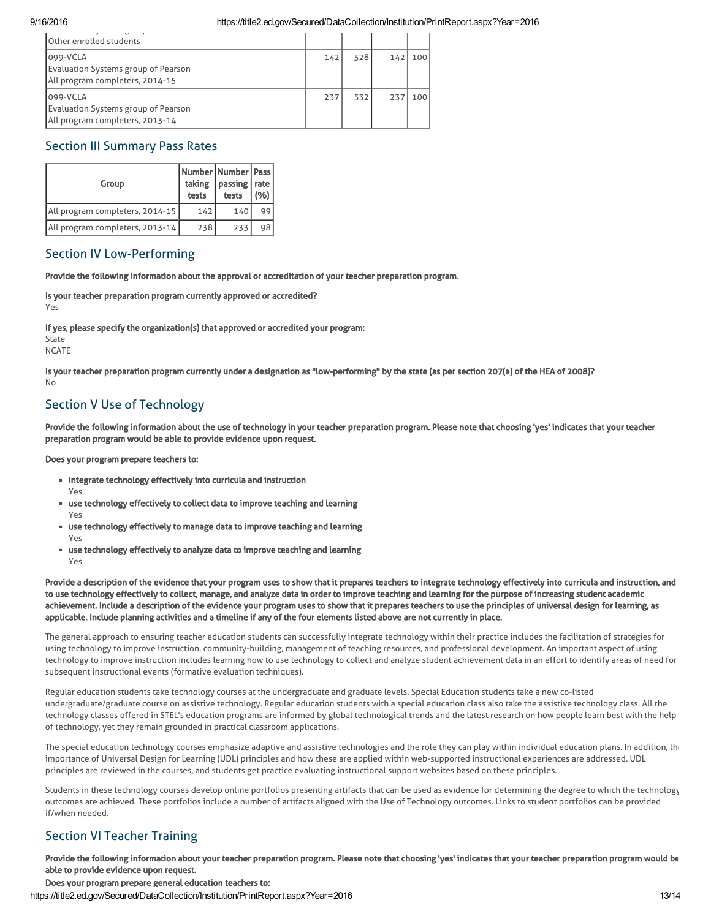| <b>Other enrolled students</b>                                                            |     |     |     |     |
|-------------------------------------------------------------------------------------------|-----|-----|-----|-----|
| 099-VCLA<br><b>Evaluation Systems group of Pearson</b><br>All program completers, 2014-15 | 142 | 528 | 142 | 100 |
| 099-VCLA<br>Evaluation Systems group of Pearson<br>All program completers, 2013-14        | 237 | 532 | 237 | 100 |

# Section III Summary Pass Rates

| Group                           | taking<br>tests | Number   Number   Pass  <br>  passing   rate<br>tests | (96) |
|---------------------------------|-----------------|-------------------------------------------------------|------|
| All program completers, 2014-15 | 142             | 140                                                   | 99   |
| All program completers, 2013-14 | 238             | 233                                                   | 98   |

# Section IV Low-Performing

Provide the following information about the approval or accreditation of your teacher preparation program.

Is your teacher preparation program currently approved or accredited? Yes

If yes, please specify the organization(s) that approved or accredited your program:

State

**NCATE** 

Yes

Is your teacher preparation program currently under a designation as "low-performing" by the state (as per section 207(a) of the HEA of 2008)? No

# Section V Use of Technology

Provide the following information about the use of technology in your teacher preparation program. Please note that choosing 'yes' indicates that your teacher preparation program would be able to provide evidence upon request.

Does your program prepare teachers to:

- integrate technology effectively into curricula and instruction
- use technology effectively to collect data to improve teaching and learning Yes
- use technology effectively to manage data to improve teaching and learning Yes
- use technology effectively to analyze data to improve teaching and learning Yes

Provide a description of the evidence that your program uses to show that it prepares teachers to integrate technology effectively into curricula and instruction, and to use technology effectively to collect, manage, and analyze data in order to improve teaching and learning for the purpose of increasing student academic achievement. Include a description of the evidence your program uses to show that it prepares teachers to use the principles of universal design for learning, as applicable. Include planning activities and a timeline if any of the four elements listed above are not currently in place.

The general approach to ensuring teacher education students can successfully integrate technology within their practice includes the facilitation of strategies for using technology to improve instruction, community-building, management of teaching resources, and professional development. An important aspect of using technology to improve instruction includes learning how to use technology to collect and analyze student achievement data in an effort to identify areas of need for subsequent instructional events (formative evaluation techniques).

Regular education students take technology courses at the undergraduate and graduate levels. Special Education students take a new co-listed undergraduate/graduate course on assistive technology. Regular education students with a special education class also take the assistive technology class. All the technology classes offered in STEL's education programs are informed by global technological trends and the latest research on how people learn best with the help of technology, yet they remain grounded in practical classroom applications.

The special education technology courses emphasize adaptive and assistive technologies and the role they can play within individual education plans. In addition, th importance of Universal Design for Learning (UDL) principles and how these are applied within web-supported instructional experiences are addressed. UDL principles are reviewed in the courses, and students get practice evaluating instructional support websites based on these principles.

Students in these technology courses develop online portfolios presenting artifacts that can be used as evidence for determining the degree to which the technology outcomes are achieved. These portfolios include a number of artifacts aligned with the Use of Technology outcomes. Links to student portfolios can be provided if/when needed.

# Section VI Teacher Training

Provide the following information about your teacher preparation program. Please note that choosing 'yes' indicates that your teacher preparation program would be able to provide evidence upon request.

Does your program prepare general education teachers to:

https://title2.ed.gov/Secured/DataCollection/Institution/PrintReport.aspx?Year=2016 13/14